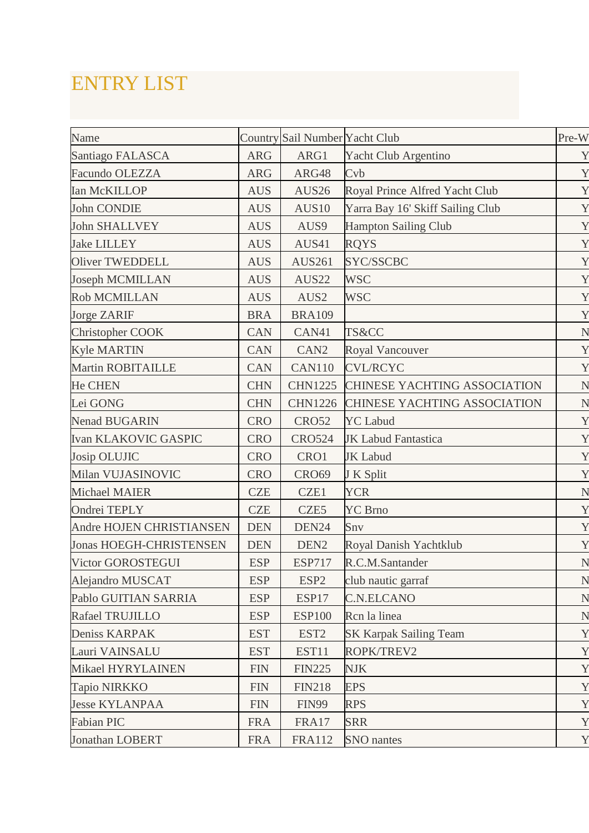## ENTRY LIST

| Name                           |             | Country Sail Number Yacht Club |                                     | Pre-W |
|--------------------------------|-------------|--------------------------------|-------------------------------------|-------|
| Santiago FALASCA               | <b>ARG</b>  | ARG1                           | Yacht Club Argentino                | Y     |
| Facundo OLEZZA                 | <b>ARG</b>  | ARG48                          | Cvb                                 | Y     |
| <b>Ian McKILLOP</b>            | <b>AUS</b>  | AUS26                          | Royal Prince Alfred Yacht Club      | Y     |
| <b>John CONDIE</b>             | <b>AUS</b>  | AUS10                          | Yarra Bay 16' Skiff Sailing Club    | Y     |
| <b>John SHALLVEY</b>           | <b>AUS</b>  | AUS9                           | <b>Hampton Sailing Club</b>         | Y     |
| <b>Jake LILLEY</b>             | <b>AUS</b>  | AUS41                          | <b>RQYS</b>                         | Y     |
| <b>Oliver TWEDDELL</b>         | <b>AUS</b>  | <b>AUS261</b>                  | SYC/SSCBC                           | Y     |
| <b>Joseph MCMILLAN</b>         | <b>AUS</b>  | AUS22                          | <b>WSC</b>                          | Y     |
| <b>Rob MCMILLAN</b>            | <b>AUS</b>  | AUS2                           | <b>WSC</b>                          | Y     |
| <b>Jorge ZARIF</b>             | <b>BRA</b>  | <b>BRA109</b>                  |                                     | Y     |
| Christopher COOK               | <b>CAN</b>  | CAN41                          | TS&CC                               | N     |
| <b>Kyle MARTIN</b>             | <b>CAN</b>  | CAN <sub>2</sub>               | <b>Royal Vancouver</b>              | Y     |
| <b>Martin ROBITAILLE</b>       | <b>CAN</b>  | <b>CAN110</b>                  | <b>CVL/RCYC</b>                     | Y     |
| <b>He CHEN</b>                 | <b>CHN</b>  | <b>CHN1225</b>                 | CHINESE YACHTING ASSOCIATION        | N     |
| Lei GONG                       | <b>CHN</b>  | <b>CHN1226</b>                 | <b>CHINESE YACHTING ASSOCIATION</b> | N     |
| <b>Nenad BUGARIN</b>           | <b>CRO</b>  | <b>CRO52</b>                   | <b>YC</b> Labud                     | Y     |
| <b>Ivan KLAKOVIC GASPIC</b>    | <b>CRO</b>  | <b>CRO524</b>                  | <b>JK Labud Fantastica</b>          | Y     |
| Josip OLUJIC                   | <b>CRO</b>  | CRO1                           | <b>JK</b> Labud                     | Y     |
| Milan VUJASINOVIC              | <b>CRO</b>  | <b>CRO69</b>                   | J K Split                           | Y     |
| <b>Michael MAIER</b>           | <b>CZE</b>  | CZE1                           | <b>YCR</b>                          | N     |
| Ondrei TEPLY                   | <b>CZE</b>  | CZE5                           | <b>YC</b> Brno                      | Y     |
| Andre HOJEN CHRISTIANSEN       | <b>DEN</b>  | DEN24                          | Snv                                 | Y     |
| <b>Jonas HOEGH-CHRISTENSEN</b> | <b>DEN</b>  | DEN <sub>2</sub>               | Royal Danish Yachtklub              | Y     |
| Victor GOROSTEGUI              | <b>ESP</b>  | <b>ESP717</b>                  | R.C.M.Santander                     | N     |
| Alejandro MUSCAT               | <b>ESP</b>  | ESP <sub>2</sub>               | club nautic garraf                  | N     |
| Pablo GUITIAN SARRIA           | <b>ESP</b>  | ESP17                          | <b>C.N.ELCANO</b>                   | N     |
| Rafael TRUJILLO                | <b>ESP</b>  | <b>ESP100</b>                  | Rcn la linea                        | N     |
| Deniss KARPAK                  | <b>EST</b>  | EST <sub>2</sub>               | <b>SK Karpak Sailing Team</b>       | Y     |
| Lauri VAINSALU                 | <b>EST</b>  | EST11                          | ROPK/TREV2                          | Y     |
| Mikael HYRYLAINEN              | ${\rm FIN}$ | <b>FIN225</b>                  | <b>NJK</b>                          | Y     |
| Tapio NIRKKO                   | ${\rm FIN}$ | <b>FIN218</b>                  | <b>EPS</b>                          | Y     |
| <b>Jesse KYLANPAA</b>          | <b>FIN</b>  | <b>FIN99</b>                   | <b>RPS</b>                          | Y     |
| <b>Fabian PIC</b>              | <b>FRA</b>  | FRA17                          | <b>SRR</b>                          | Y     |
| Jonathan LOBERT                | <b>FRA</b>  | <b>FRA112</b>                  | SNO nantes                          | Y     |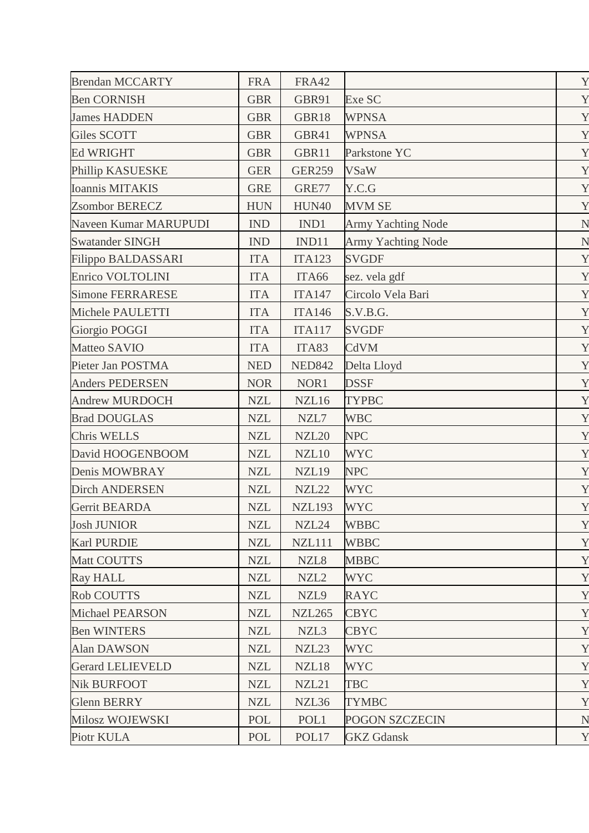| <b>Brendan MCCARTY</b>    | <b>FRA</b> | <b>FRA42</b>  |                           | Y |
|---------------------------|------------|---------------|---------------------------|---|
| <b>Ben CORNISH</b>        | <b>GBR</b> | GBR91         | Exe SC                    | Y |
| <b>James HADDEN</b>       | <b>GBR</b> | GBR18         | <b>WPNSA</b>              | Y |
| <b>Giles SCOTT</b>        | <b>GBR</b> | GBR41         | <b>WPNSA</b>              | Y |
| <b>Ed WRIGHT</b>          | <b>GBR</b> | GBR11         | Parkstone YC              | Y |
| Phillip KASUESKE          | <b>GER</b> | <b>GER259</b> | <b>VSaW</b>               | Y |
| <b>Ioannis MITAKIS</b>    | <b>GRE</b> | GRE77         | Y.C.G                     | Y |
| <b>Zsombor BERECZ</b>     | <b>HUN</b> | <b>HUN40</b>  | <b>MVM SE</b>             | Y |
| Naveen Kumar MARUPUDI     | IND        | IND1          | <b>Army Yachting Node</b> | N |
| <b>Swatander SINGH</b>    | <b>IND</b> | IND11         | <b>Army Yachting Node</b> | N |
| <b>Filippo BALDASSARI</b> | <b>ITA</b> | <b>ITA123</b> | <b>SVGDF</b>              | Y |
| Enrico VOLTOLINI          | <b>ITA</b> | ITA66         | sez. vela gdf             | Y |
| <b>Simone FERRARESE</b>   | <b>ITA</b> | <b>ITA147</b> | Circolo Vela Bari         | Y |
| Michele PAULETTI          | <b>ITA</b> | <b>ITA146</b> | S.V.B.G.                  | Y |
| Giorgio POGGI             | <b>ITA</b> | <b>ITA117</b> | <b>SVGDF</b>              | Y |
| Matteo SAVIO              | <b>ITA</b> | ITA83         | CdVM                      | Y |
| Pieter Jan POSTMA         | <b>NED</b> | <b>NED842</b> | Delta Lloyd               | Y |
| <b>Anders PEDERSEN</b>    | <b>NOR</b> | NOR1          | <b>DSSF</b>               | Y |
| <b>Andrew MURDOCH</b>     | <b>NZL</b> | NZL16         | <b>TYPBC</b>              | Y |
| <b>Brad DOUGLAS</b>       | <b>NZL</b> | NZL7          | <b>WBC</b>                | Y |
| <b>Chris WELLS</b>        | <b>NZL</b> | <b>NZL20</b>  | <b>NPC</b>                | Y |
| David HOOGENBOOM          | <b>NZL</b> | NZL10         | <b>WYC</b>                | Y |
| Denis MOWBRAY             | <b>NZL</b> | NZL19         | <b>NPC</b>                | Y |
| <b>Dirch ANDERSEN</b>     | <b>NZL</b> | NZL22         | <b>WYC</b>                | Y |
| Gerrit BEARDA             | <b>NZL</b> | <b>NZL193</b> | <b>WYC</b>                | Y |
| <b>Josh JUNIOR</b>        | <b>NZL</b> | NZL24         | <b>WBBC</b>               | Y |
| <b>Karl PURDIE</b>        | <b>NZL</b> | <b>NZL111</b> | <b>WBBC</b>               | Y |
| Matt COUTTS               | <b>NZL</b> | NZL8          | <b>MBBC</b>               | Y |
| <b>Ray HALL</b>           | <b>NZL</b> | NZL2          | <b>WYC</b>                | Y |
| <b>Rob COUTTS</b>         | <b>NZL</b> | NZL9          | <b>RAYC</b>               | Y |
| <b>Michael PEARSON</b>    | <b>NZL</b> | <b>NZL265</b> | <b>CBYC</b>               | Y |
| <b>Ben WINTERS</b>        | <b>NZL</b> | NZL3          | <b>CBYC</b>               | Y |
| <b>Alan DAWSON</b>        | <b>NZL</b> | NZL23         | <b>WYC</b>                | Y |
| <b>Gerard LELIEVELD</b>   | <b>NZL</b> | NZL18         | <b>WYC</b>                | Y |
| <b>Nik BURFOOT</b>        | <b>NZL</b> | NZL21         | <b>TBC</b>                | Y |
| <b>Glenn BERRY</b>        | <b>NZL</b> | NZL36         | <b>TYMBC</b>              | Y |
| Milosz WOJEWSKI           | POL        | POL1          | <b>POGON SZCZECIN</b>     | N |
| Piotr KULA                | POL        | POL17         | <b>GKZ</b> Gdansk         | Y |